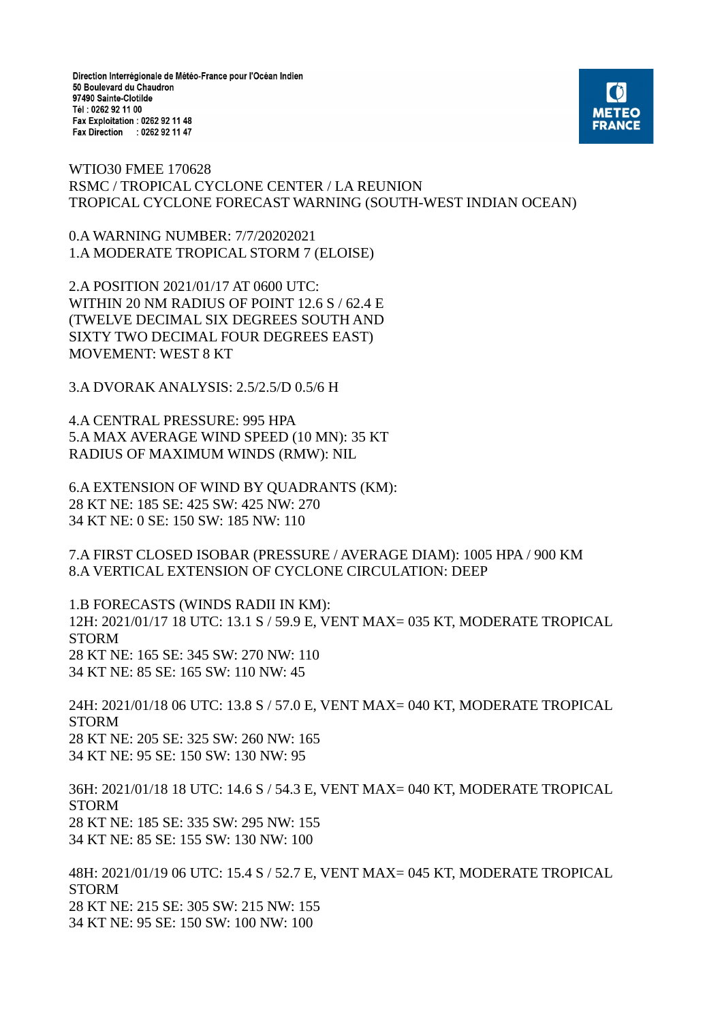Direction Interrégionale de Météo-France pour l'Océan Indien 50 Boulevard du Chaudron 97490 Sainte-Clotilde Tél: 0262 92 11 00 Fax Exploitation : 0262 92 11 48 Fax Direction : 0262 92 11 47



WTIO30 FMEE 170628 RSMC / TROPICAL CYCLONE CENTER / LA REUNION TROPICAL CYCLONE FORECAST WARNING (SOUTH-WEST INDIAN OCEAN)

0.A WARNING NUMBER: 7/7/20202021 1.A MODERATE TROPICAL STORM 7 (ELOISE)

2.A POSITION 2021/01/17 AT 0600 UTC: WITHIN 20 NM RADIUS OF POINT 12.6 S / 62.4 E (TWELVE DECIMAL SIX DEGREES SOUTH AND SIXTY TWO DECIMAL FOUR DEGREES EAST) MOVEMENT: WEST 8 KT

3.A DVORAK ANALYSIS: 2.5/2.5/D 0.5/6 H

4.A CENTRAL PRESSURE: 995 HPA 5.A MAX AVERAGE WIND SPEED (10 MN): 35 KT RADIUS OF MAXIMUM WINDS (RMW): NIL

6.A EXTENSION OF WIND BY QUADRANTS (KM): 28 KT NE: 185 SE: 425 SW: 425 NW: 270 34 KT NE: 0 SE: 150 SW: 185 NW: 110

7.A FIRST CLOSED ISOBAR (PRESSURE / AVERAGE DIAM): 1005 HPA / 900 KM 8.A VERTICAL EXTENSION OF CYCLONE CIRCULATION: DEEP

1.B FORECASTS (WINDS RADII IN KM): 12H: 2021/01/17 18 UTC: 13.1 S / 59.9 E, VENT MAX= 035 KT, MODERATE TROPICAL STORM 28 KT NE: 165 SE: 345 SW: 270 NW: 110 34 KT NE: 85 SE: 165 SW: 110 NW: 45

24H: 2021/01/18 06 UTC: 13.8 S / 57.0 E, VENT MAX= 040 KT, MODERATE TROPICAL STORM 28 KT NE: 205 SE: 325 SW: 260 NW: 165 34 KT NE: 95 SE: 150 SW: 130 NW: 95

36H: 2021/01/18 18 UTC: 14.6 S / 54.3 E, VENT MAX= 040 KT, MODERATE TROPICAL STORM 28 KT NE: 185 SE: 335 SW: 295 NW: 155 34 KT NE: 85 SE: 155 SW: 130 NW: 100

48H: 2021/01/19 06 UTC: 15.4 S / 52.7 E, VENT MAX= 045 KT, MODERATE TROPICAL STORM 28 KT NE: 215 SE: 305 SW: 215 NW: 155 34 KT NE: 95 SE: 150 SW: 100 NW: 100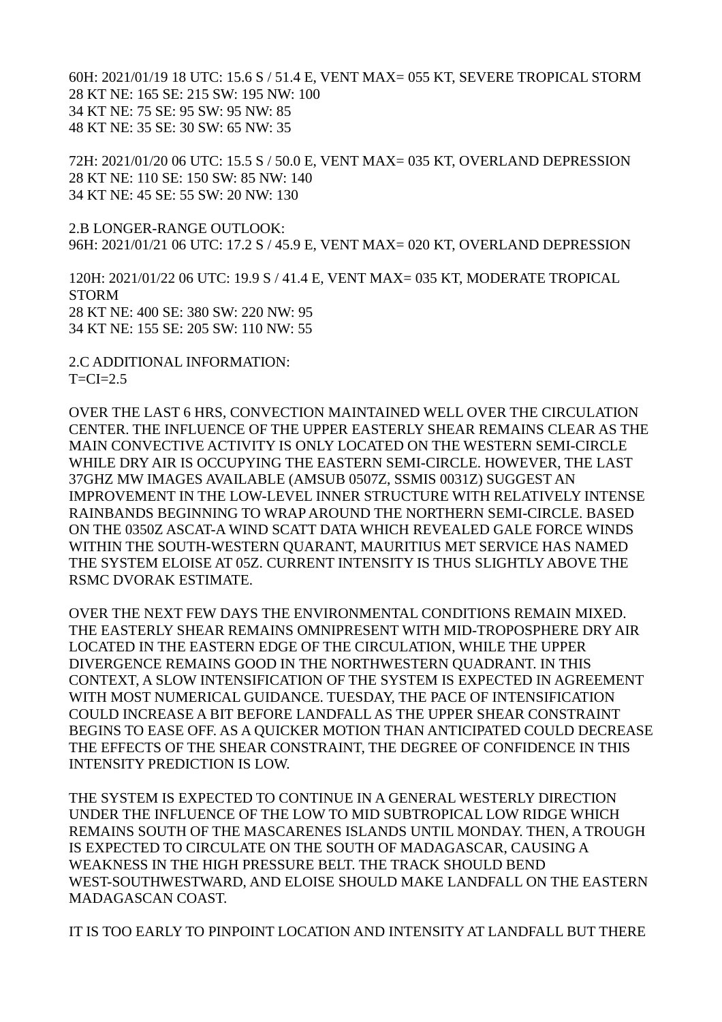60H: 2021/01/19 18 UTC: 15.6 S / 51.4 E, VENT MAX= 055 KT, SEVERE TROPICAL STORM 28 KT NE: 165 SE: 215 SW: 195 NW: 100 34 KT NE: 75 SE: 95 SW: 95 NW: 85 48 KT NE: 35 SE: 30 SW: 65 NW: 35

72H: 2021/01/20 06 UTC: 15.5 S / 50.0 E, VENT MAX= 035 KT, OVERLAND DEPRESSION 28 KT NE: 110 SE: 150 SW: 85 NW: 140 34 KT NE: 45 SE: 55 SW: 20 NW: 130

2.B LONGER-RANGE OUTLOOK: 96H: 2021/01/21 06 UTC: 17.2 S / 45.9 E, VENT MAX= 020 KT, OVERLAND DEPRESSION

120H: 2021/01/22 06 UTC: 19.9 S / 41.4 E, VENT MAX= 035 KT, MODERATE TROPICAL STORM 28 KT NE: 400 SE: 380 SW: 220 NW: 95 34 KT NE: 155 SE: 205 SW: 110 NW: 55

2.C ADDITIONAL INFORMATION:  $T=CI=2.5$ 

OVER THE LAST 6 HRS, CONVECTION MAINTAINED WELL OVER THE CIRCULATION CENTER. THE INFLUENCE OF THE UPPER EASTERLY SHEAR REMAINS CLEAR AS THE MAIN CONVECTIVE ACTIVITY IS ONLY LOCATED ON THE WESTERN SEMI-CIRCLE WHILE DRY AIR IS OCCUPYING THE EASTERN SEMI-CIRCLE. HOWEVER, THE LAST 37GHZ MW IMAGES AVAILABLE (AMSUB 0507Z, SSMIS 0031Z) SUGGEST AN IMPROVEMENT IN THE LOW-LEVEL INNER STRUCTURE WITH RELATIVELY INTENSE RAINBANDS BEGINNING TO WRAP AROUND THE NORTHERN SEMI-CIRCLE. BASED ON THE 0350Z ASCAT-A WIND SCATT DATA WHICH REVEALED GALE FORCE WINDS WITHIN THE SOUTH-WESTERN QUARANT, MAURITIUS MET SERVICE HAS NAMED THE SYSTEM ELOISE AT 05Z. CURRENT INTENSITY IS THUS SLIGHTLY ABOVE THE RSMC DVORAK ESTIMATE.

OVER THE NEXT FEW DAYS THE ENVIRONMENTAL CONDITIONS REMAIN MIXED. THE EASTERLY SHEAR REMAINS OMNIPRESENT WITH MID-TROPOSPHERE DRY AIR LOCATED IN THE EASTERN EDGE OF THE CIRCULATION, WHILE THE UPPER DIVERGENCE REMAINS GOOD IN THE NORTHWESTERN QUADRANT. IN THIS CONTEXT, A SLOW INTENSIFICATION OF THE SYSTEM IS EXPECTED IN AGREEMENT WITH MOST NUMERICAL GUIDANCE. TUESDAY, THE PACE OF INTENSIFICATION COULD INCREASE A BIT BEFORE LANDFALL AS THE UPPER SHEAR CONSTRAINT BEGINS TO EASE OFF. AS A QUICKER MOTION THAN ANTICIPATED COULD DECREASE THE EFFECTS OF THE SHEAR CONSTRAINT, THE DEGREE OF CONFIDENCE IN THIS INTENSITY PREDICTION IS LOW.

THE SYSTEM IS EXPECTED TO CONTINUE IN A GENERAL WESTERLY DIRECTION UNDER THE INFLUENCE OF THE LOW TO MID SUBTROPICAL LOW RIDGE WHICH REMAINS SOUTH OF THE MASCARENES ISLANDS UNTIL MONDAY. THEN, A TROUGH IS EXPECTED TO CIRCULATE ON THE SOUTH OF MADAGASCAR, CAUSING A WEAKNESS IN THE HIGH PRESSURE BELT. THE TRACK SHOULD BEND WEST-SOUTHWESTWARD, AND ELOISE SHOULD MAKE LANDFALL ON THE EASTERN MADAGASCAN COAST.

IT IS TOO EARLY TO PINPOINT LOCATION AND INTENSITY AT LANDFALL BUT THERE